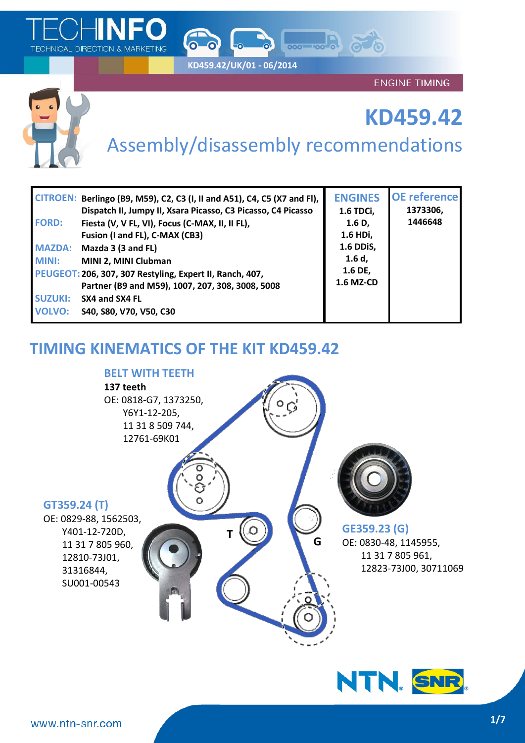

**KD459.42/UK/01 - 06/2014**

ENGINE TIMING



# **KD459.42**

# Assembly/disassembly recommendations

000-00-00

|                | CITROEN: Berlingo (B9, M59), C2, C3 (I, II and A51), C4, C5 (X7 and FI),<br>Dispatch II, Jumpy II, Xsara Picasso, C3 Picasso, C4 Picasso | <b>ENGINES</b><br>1.6 TDCi, | <b>OE</b> reference<br>1373306, |
|----------------|------------------------------------------------------------------------------------------------------------------------------------------|-----------------------------|---------------------------------|
| <b>FORD:</b>   | Fiesta (V, V FL, VI), Focus (C-MAX, II, II FL),                                                                                          | 1.6 <sub>D</sub>            | 1446648                         |
|                | Fusion (I and FL), C-MAX (CB3)                                                                                                           | 1.6 HDi,                    |                                 |
| <b>MAZDA:</b>  | Mazda 3 (3 and FL)                                                                                                                       | 1.6 DDiS,                   |                                 |
| <b>MINI:</b>   | MINI 2, MINI Clubman                                                                                                                     | $1.6d$ ,                    |                                 |
|                | PEUGEOT: 206, 307, 307 Restyling, Expert II, Ranch, 407,                                                                                 | 1.6 DE,                     |                                 |
|                | Partner (B9 and M59), 1007, 207, 308, 3008, 5008                                                                                         | 1.6 MZ-CD                   |                                 |
| <b>SUZUKI:</b> | SX4 and SX4 FL                                                                                                                           |                             |                                 |
| <b>VOLVO:</b>  | S40, S80, V70, V50, C30                                                                                                                  |                             |                                 |

# **TIMING KINEMATICS OF THE KIT KD459.42**



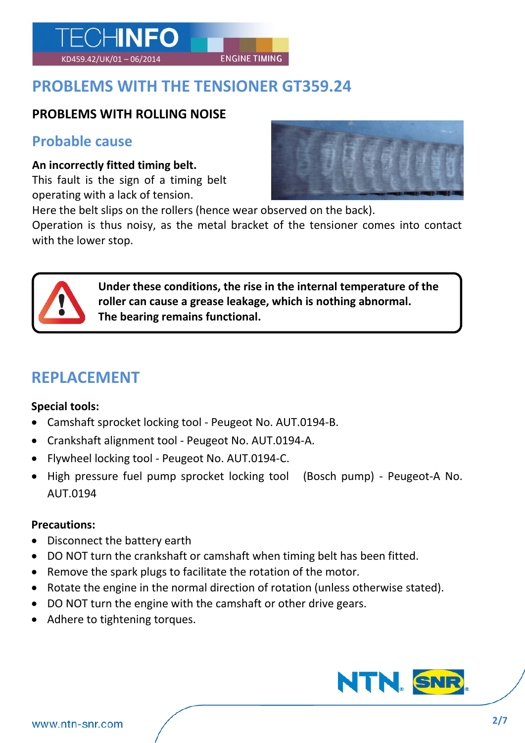# **PROBLEMS WITH THE TENSIONER GT359.24**

KD459.42/UK/01 – 06/2014 ENGINE TIMING

#### **PROBLEMS WITH ROLLING NOISE**

ECHINFO

#### **Probable cause**

#### **An incorrectly fitted timing belt.**

This fault is the sign of a timing belt operating with a lack of tension.



Here the belt slips on the rollers (hence wear observed on the back).

Operation is thus noisy, as the metal bracket of the tensioner comes into contact with the lower stop.



**Under these conditions, the rise in the internal temperature of the roller can cause a grease leakage, which is nothing abnormal. The bearing remains functional.**

# **REPLACEMENT**

#### **Special tools:**

- Camshaft sprocket locking tool Peugeot No. AUT.0194-B.
- Crankshaft alignment tool Peugeot No. AUT.0194-A.
- Flywheel locking tool Peugeot No. AUT.0194-C.
- High pressure fuel pump sprocket locking tool (Bosch pump) Peugeot-A No. AUT.0194

#### **Precautions:**

- Disconnect the battery earth
- DO NOT turn the crankshaft or camshaft when timing belt has been fitted.
- Remove the spark plugs to facilitate the rotation of the motor.
- Rotate the engine in the normal direction of rotation (unless otherwise stated).
- DO NOT turn the engine with the camshaft or other drive gears.
- Adhere to tightening torques.

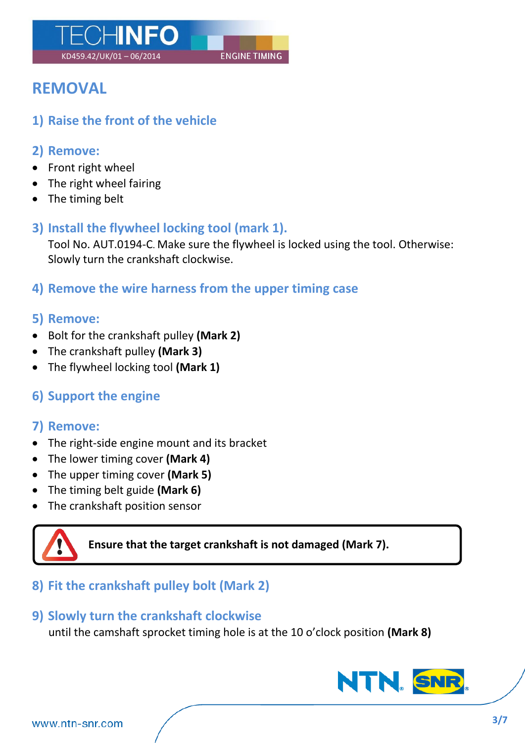

# **REMOVAL**

**1) Raise the front of the vehicle**

### **2) Remove:**

- Front right wheel
- The right wheel fairing
- The timing belt

## **3) Install the flywheel locking tool (mark 1).**

Tool No. AUT.0194-C. Make sure the flywheel is locked using the tool. Otherwise: Slowly turn the crankshaft clockwise.

**4) Remove the wire harness from the upper timing case**

### **5) Remove:**

- Bolt for the crankshaft pulley **(Mark 2)**
- The crankshaft pulley **(Mark 3)**
- The flywheel locking tool **(Mark 1)**

# **6) Support the engine**

## **7) Remove:**

- The right-side engine mount and its bracket
- The lower timing cover **(Mark 4)**
- The upper timing cover **(Mark 5)**
- The timing belt guide **(Mark 6)**
- The crankshaft position sensor



**Ensure that the target crankshaft is not damaged (Mark 7).**

# **8) Fit the crankshaft pulley bolt (Mark 2)**

#### **9) Slowly turn the crankshaft clockwise**

until the camshaft sprocket timing hole is at the 10 o'clock position **(Mark 8)**

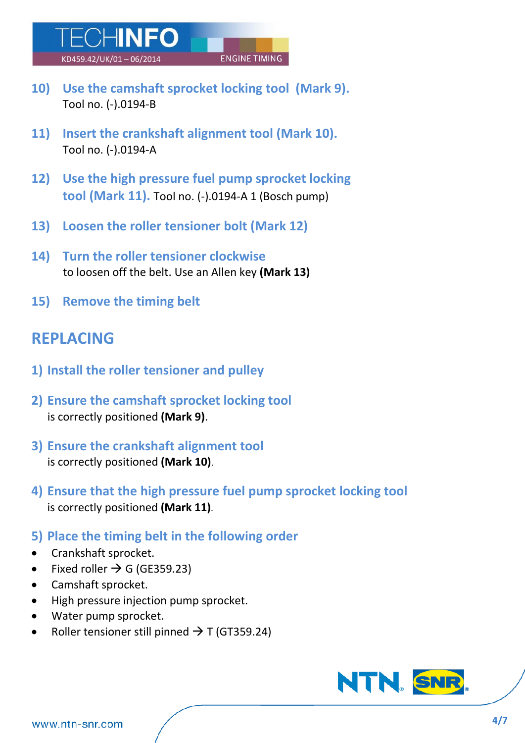**10) Use the camshaft sprocket locking tool (Mark 9).**

KD459.42/UK/01 – 06/2014 ENGINE TIMING

- **11) Insert the crankshaft alignment tool (Mark 10).** Tool no. (-).0194-A
- **12) Use the high pressure fuel pump sprocket locking tool (Mark 11).** Tool no. (-).0194-A 1 (Bosch pump)
- **13) Loosen the roller tensioner bolt (Mark 12)**
- **14) Turn the roller tensioner clockwise** to loosen off the belt. Use an Allen key **(Mark 13)**
- **15) Remove the timing belt**

Tool no. (-).0194-B

ECHINFO

# **REPLACING**

- **1) Install the roller tensioner and pulley**
- **2) Ensure the camshaft sprocket locking tool**  is correctly positioned **(Mark 9)**.
- **3) Ensure the crankshaft alignment tool**  is correctly positioned **(Mark 10)**.
- **4) Ensure that the high pressure fuel pump sprocket locking tool**  is correctly positioned **(Mark 11)**.
- **5) Place the timing belt in the following order**
- Crankshaft sprocket.
- Fixed roller  $\rightarrow$  G (GE359.23)
- Camshaft sprocket.
- High pressure injection pump sprocket.
- Water pump sprocket.
- Roller tensioner still pinned  $\rightarrow$  T (GT359.24)

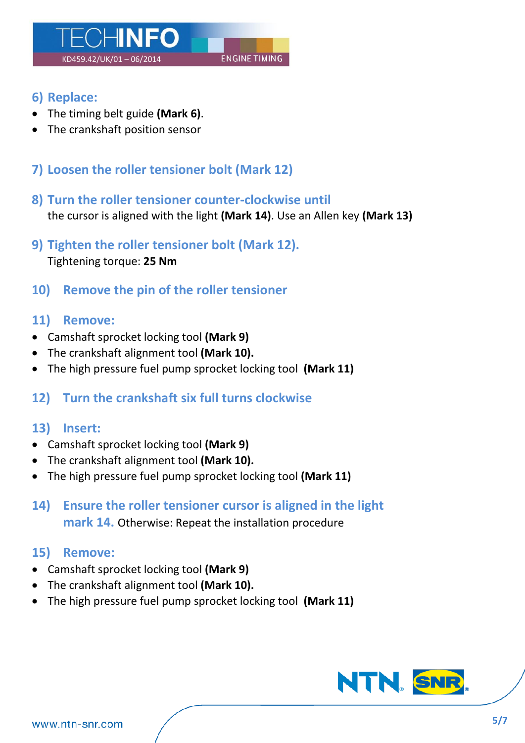

- **6) Replace:**
- The timing belt guide **(Mark 6)**.
- The crankshaft position sensor
- **7) Loosen the roller tensioner bolt (Mark 12)**
- **8) Turn the roller tensioner counter-clockwise until**  the cursor is aligned with the light **(Mark 14)**. Use an Allen key **(Mark 13)**
- **9) Tighten the roller tensioner bolt (Mark 12).** Tightening torque: **25 Nm**
- **10) Remove the pin of the roller tensioner**

#### **11) Remove:**

- Camshaft sprocket locking tool **(Mark 9)**
- The crankshaft alignment tool **(Mark 10).**
- The high pressure fuel pump sprocket locking tool **(Mark 11)**

#### **12) Turn the crankshaft six full turns clockwise**

#### **13) Insert:**

- Camshaft sprocket locking tool **(Mark 9)**
- The crankshaft alignment tool **(Mark 10).**
- The high pressure fuel pump sprocket locking tool **(Mark 11)**
- **14) Ensure the roller tensioner cursor is aligned in the light mark 14.** Otherwise: Repeat the installation procedure

#### **15) Remove:**

- Camshaft sprocket locking tool **(Mark 9)**
- The crankshaft alignment tool **(Mark 10).**
- The high pressure fuel pump sprocket locking tool **(Mark 11)**

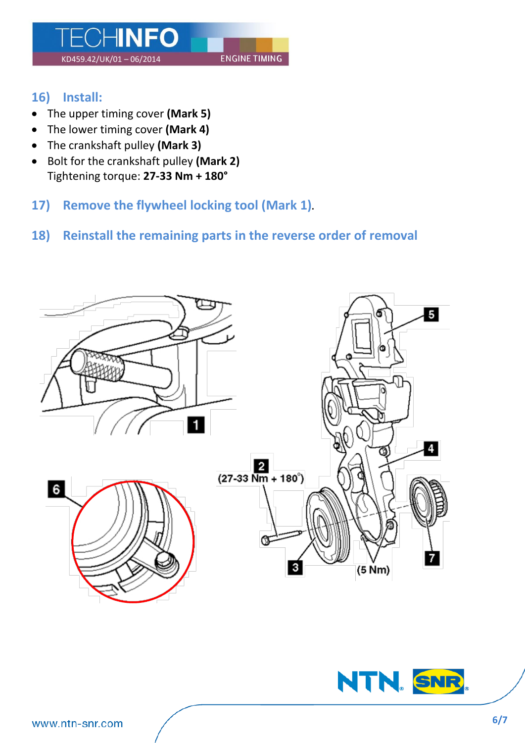

### **16) Install:**

- The upper timing cover **(Mark 5)**
- The lower timing cover **(Mark 4)**
- The crankshaft pulley **(Mark 3)**
- Bolt for the crankshaft pulley **(Mark 2)** Tightening torque: **27-33 Nm + 180°**
- **17) Remove the flywheel locking tool (Mark 1).**

### **18) Reinstall the remaining parts in the reverse order of removal**